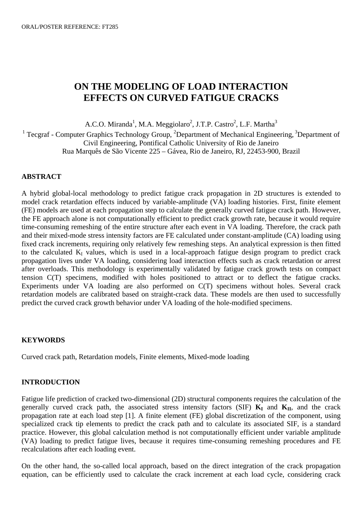# **ON THE MODELING OF LOAD INTERACTION EFFECTS ON CURVED FATIGUE CRACKS**

A.C.O. Miranda<sup>1</sup>, M.A. Meggiolaro<sup>2</sup>, J.T.P. Castro<sup>2</sup>, L.F. Martha<sup>3</sup>

<sup>1</sup> Tecgraf - Computer Graphics Technology Group, <sup>2</sup>Department of Mechanical Engineering,  ${}^{3}$ Department of Civil Engineering, Pontifical Catholic University of Rio de Janeiro Rua Marquês de São Vicente 225 – Gávea, Rio de Janeiro, RJ, 22453-900, Brazil

## **ABSTRACT**

A hybrid global-local methodology to predict fatigue crack propagation in 2D structures is extended to model crack retardation effects induced by variable-amplitude (VA) loading histories. First, finite element (FE) models are used at each propagation step to calculate the generally curved fatigue crack path. However, the FE approach alone is not computationally efficient to predict crack growth rate, because it would require time-consuming remeshing of the entire structure after each event in VA loading. Therefore, the crack path and their mixed-mode stress intensity factors are FE calculated under constant-amplitude (CA) loading using fixed crack increments, requiring only relatively few remeshing steps. An analytical expression is then fitted to the calculated  $K_I$  values, which is used in a local-approach fatigue design program to predict crack propagation lives under VA loading, considering load interaction effects such as crack retardation or arrest after overloads. This methodology is experimentally validated by fatigue crack growth tests on compact tension C(T) specimens, modified with holes positioned to attract or to deflect the fatigue cracks. Experiments under VA loading are also performed on C(T) specimens without holes. Several crack retardation models are calibrated based on straight-crack data. These models are then used to successfully predict the curved crack growth behavior under VA loading of the hole-modified specimens.

## **KEYWORDS**

Curved crack path, Retardation models, Finite elements, Mixed-mode loading

## **INTRODUCTION**

Fatigue life prediction of cracked two-dimensional (2D) structural components requires the calculation of the generally curved crack path, the associated stress intensity factors (SIF)  $K_I$  and  $K_{II}$ , and the crack propagation rate at each load step [1]. A finite element (FE) global discretization of the component, using specialized crack tip elements to predict the crack path and to calculate its associated SIF, is a standard practice. However, this global calculation method is not computationally efficient under variable amplitude (VA) loading to predict fatigue lives, because it requires time-consuming remeshing procedures and FE recalculations after each loading event.

On the other hand, the so-called local approach, based on the direct integration of the crack propagation equation, can be efficiently used to calculate the crack increment at each load cycle, considering crack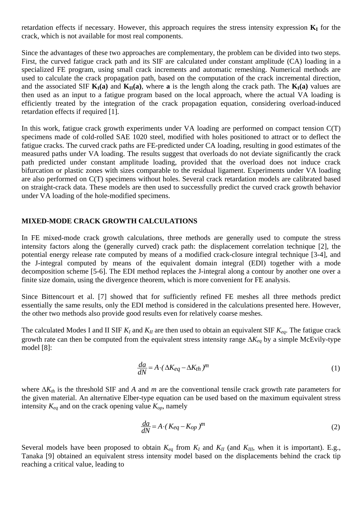retardation effects if necessary. However, this approach requires the stress intensity expression  $\mathbf{K}_{\text{I}}$  for the crack, which is not available for most real components.

Since the advantages of these two approaches are complementary, the problem can be divided into two steps. First, the curved fatigue crack path and its SIF are calculated under constant amplitude (CA) loading in a specialized FE program, using small crack increments and automatic remeshing. Numerical methods are used to calculate the crack propagation path, based on the computation of the crack incremental direction, and the associated SIF  $K_I(a)$  and  $K_{II}(a)$ , where a is the length along the crack path. The  $K_I(a)$  values are then used as an input to a fatigue program based on the local approach, where the actual VA loading is efficiently treated by the integration of the crack propagation equation, considering overload-induced retardation effects if required [1].

In this work, fatigue crack growth experiments under VA loading are performed on compact tension C(T) specimens made of cold-rolled SAE 1020 steel, modified with holes positioned to attract or to deflect the fatigue cracks. The curved crack paths are FE-predicted under CA loading, resulting in good estimates of the measured paths under VA loading. The results suggest that overloads do not deviate significantly the crack path predicted under constant amplitude loading, provided that the overload does not induce crack bifurcation or plastic zones with sizes comparable to the residual ligament. Experiments under VA loading are also performed on C(T) specimens without holes. Several crack retardation models are calibrated based on straight-crack data. These models are then used to successfully predict the curved crack growth behavior under VA loading of the hole-modified specimens.

## **MIXED-MODE CRACK GROWTH CALCULATIONS**

In FE mixed-mode crack growth calculations, three methods are generally used to compute the stress intensity factors along the (generally curved) crack path: the displacement correlation technique [2], the potential energy release rate computed by means of a modified crack-closure integral technique [3-4], and the J-integral computed by means of the equivalent domain integral (EDI) together with a mode decomposition scheme [5-6]. The EDI method replaces the J-integral along a contour by another one over a finite size domain, using the divergence theorem, which is more convenient for FE analysis.

Since Bittencourt et al. [7] showed that for sufficiently refined FE meshes all three methods predict essentially the same results, only the EDI method is considered in the calculations presented here. However, the other two methods also provide good results even for relatively coarse meshes.

The calculated Modes I and II SIF  $K_I$  and  $K_{II}$  are then used to obtain an equivalent SIF  $K_{eq}$ . The fatigue crack growth rate can then be computed from the equivalent stress intensity range ∆*Keq* by a simple McEvily-type model [8]:

$$
\frac{da}{dN} = A \cdot (\Delta K_{eq} - \Delta K_{th})^m
$$
\n(1)

where ∆*Kth* is the threshold SIF and *A* and *m* are the conventional tensile crack growth rate parameters for the given material. An alternative Elber-type equation can be used based on the maximum equivalent stress intensity  $K_{eq}$  and on the crack opening value  $K_{op}$ , namely

$$
\frac{da}{dN} = A \cdot (K_{eq} - K_{op})^m \tag{2}
$$

Several models have been proposed to obtain  $K_{eq}$  from  $K_I$  and  $K_{II}$  (and  $K_{III}$ , when it is important). E.g., Tanaka [9] obtained an equivalent stress intensity model based on the displacements behind the crack tip reaching a critical value, leading to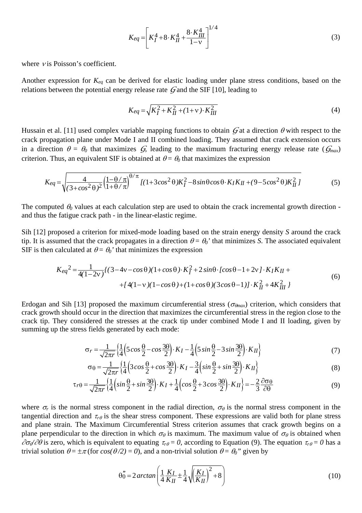$$
K_{eq} = \left[ K_I^4 + 8 \cdot K_{II}^4 + \frac{8 \cdot K_{III}^4}{1 - v} \right]^{1/4}
$$
 (3)

where  $\nu$  is Poisson's coefficient.

Another expression for *Keq* can be derived for elastic loading under plane stress conditions, based on the relations between the potential energy release rate *G* and the SIF [10], leading to

$$
K_{eq} = \sqrt{K_I^2 + K_{II}^2 + (1 + v) \cdot K_{III}^2}
$$
 (4)

Hussain et al. [11] used complex variable mapping functions to obtain  $G$  at a direction  $\theta$  with respect to the crack propagation plane under Mode I and II combined loading. They assumed that crack extension occurs in a direction  $\theta = \theta_0$  that maximizes *G*, leading to the maximum fracturing energy release rate ( $G_{max}$ ) criterion. Thus, an equivalent SIF is obtained at  $\theta = \theta_0$  that maximizes the expression

$$
K_{eq} = \sqrt{\frac{4}{(3+\cos^2\theta)^2} \left(\frac{1-\theta/\pi}{1+\theta/\pi}\right)^{\theta/\pi} \left[(1+3\cos^2\theta)K_I^2 - 8\sin\theta\cos\theta \cdot K_I K_{II} + (9-5\cos^2\theta)K_{II}^2\right]}
$$
(5)

The computed θ*0* values at each calculation step are used to obtain the crack incremental growth direction and thus the fatigue crack path - in the linear-elastic regime.

Sih [12] proposed a criterion for mixed-mode loading based on the strain energy density *S* around the crack tip. It is assumed that the crack propagates in a direction  $\theta = \theta_0$ ' that minimizes *S*. The associated equivalent SIF is then calculated at  $\theta = \theta_0$ ' that minimizes the expression

$$
K_{eq}^{2} = \frac{1}{4(1-2v)} \{ (3-4v-\cos\theta)(1+\cos\theta) \cdot K_{I}^{2} + 2\sin\theta \cdot [\cos\theta - 1 + 2v] \cdot K_{I}K_{II} +
$$
  
+ 
$$
[4(1-v)(1-\cos\theta) + (1+\cos\theta)(3\cos\theta - 1)] \cdot K_{II}^{2} + 4K_{III}^{2} \}
$$
(6)

Erdogan and Sih [13] proposed the maximum circumferential stress ( $\sigma_{\theta max}$ ) criterion, which considers that crack growth should occur in the direction that maximizes the circumferential stress in the region close to the crack tip. They considered the stresses at the crack tip under combined Mode I and II loading, given by summing up the stress fields generated by each mode:

$$
\sigma_r = \frac{1}{\sqrt{2\pi r}} \left\{ \frac{1}{4} \left( 5\cos\frac{\theta}{2} - \cos\frac{3\theta}{2} \right) \cdot K_I - \frac{1}{4} \left( 5\sin\frac{\theta}{2} - 3\sin\frac{3\theta}{2} \right) \cdot K_{II} \right\} \tag{7}
$$

$$
\sigma\theta = \frac{1}{\sqrt{2\pi r}} \left\{ \frac{1}{4} \left( 3\cos\frac{\theta}{2} + \cos\frac{3\theta}{2} \right) \cdot K_I - \frac{3}{4} \left( \sin\frac{\theta}{2} + \sin\frac{3\theta}{2} \right) \cdot K_{II} \right\}
$$
(8)

$$
\tau_{r\theta} = \frac{1}{\sqrt{2\pi r}} \left\{ \frac{1}{4} \left( \sin \frac{\theta}{2} + \sin \frac{3\theta}{2} \right) \cdot K_I + \frac{1}{4} \left( \cos \frac{\theta}{2} + 3 \cos \frac{3\theta}{2} \right) \cdot K_{II} \right\} = -\frac{2}{3} \frac{\partial \sigma_{\theta}}{\partial \theta}
$$
(9)

where  $\sigma_r$  is the normal stress component in the radial direction,  $\sigma_\theta$  is the normal stress component in the tangential direction and  $\tau_{r\theta}$  is the shear stress component. These expressions are valid both for plane stress and plane strain. The Maximum Circumferential Stress criterion assumes that crack growth begins on a plane perpendicular to the direction in which  $\sigma_{\theta}$  is maximum. The maximum value of  $\sigma_{\theta}$  is obtained when  $\partial \sigma_{\theta}/\partial \theta$  is zero, which is equivalent to equating  $\tau_{r\theta} = 0$ , according to Equation (9). The equation  $\tau_{r\theta} = 0$  has a trivial solution  $\theta = \pm \pi$  (for  $\cos(\theta/2) = 0$ ), and a non-trivial solution  $\theta = \theta_0$ " given by

$$
\theta_0'' = 2\arctan\left(\frac{1}{4}\frac{K_I}{K_{II}} \pm \frac{1}{4}\sqrt{\left(\frac{K_I}{K_{II}}\right)^2 + 8}\right) \tag{10}
$$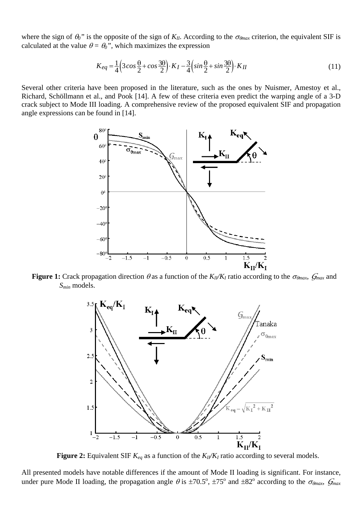where the sign of  $\theta_0$ " is the opposite of the sign of  $K_{II}$ . According to the  $\sigma_{\theta max}$  criterion, the equivalent SIF is calculated at the value  $\theta = \theta_0$ ", which maximizes the expression

$$
K_{eq} = \frac{1}{4} \left( 3\cos\frac{\theta}{2} + \cos\frac{3\theta}{2} \right) \cdot K_I - \frac{3}{4} \left( \sin\frac{\theta}{2} + \sin\frac{3\theta}{2} \right) \cdot K_{II}
$$
\n(11)

Several other criteria have been proposed in the literature, such as the ones by Nuismer, Amestoy et al., Richard, Schöllmann et al., and Pook [14]. A few of these criteria even predict the warping angle of a 3-D crack subject to Mode III loading. A comprehensive review of the proposed equivalent SIF and propagation angle expressions can be found in [14].



**Figure 1:** Crack propagation direction  $\theta$  as a function of the  $K_1/K_1$  ratio according to the  $\sigma_{\theta max}$ ,  $G_{max}$  and *Smin* models.



**Figure 2:** Equivalent SIF  $K_{eq}$  as a function of the  $K_{II}/K_I$  ratio according to several models.

All presented models have notable differences if the amount of Mode II loading is significant. For instance, under pure Mode II loading, the propagation angle  $\theta$  is  $\pm$ 70.5°,  $\pm$ 75° and  $\pm$ 82° according to the  $\sigma_{\theta max}$ ,  $\mathcal{G}_{max}$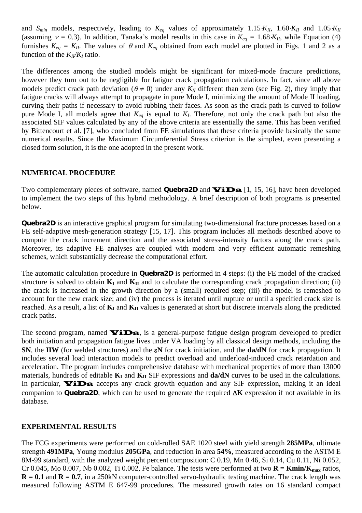and *Smin* models, respectively, leading to *Keq* values of approximately 1.15⋅*KII*, 1.60⋅*KII* and 1.05⋅*KII* (assuming  $v = 0.3$ ). In addition, Tanaka's model results in this case in  $K_{eq} = 1.68 \cdot K_{II}$ , while Equation (4) furnishes  $K_{eq} = K_{II}$ . The values of  $\theta$  and  $K_{eq}$  obtained from each model are plotted in Figs. 1 and 2 as a function of the  $K_I/K_I$  ratio.

The differences among the studied models might be significant for mixed-mode fracture predictions, however they turn out to be negligible for fatigue crack propagation calculations. In fact, since all above models predict crack path deviation ( $\theta \neq 0$ ) under any  $K_{II}$  different than zero (see Fig. 2), they imply that fatigue cracks will always attempt to propagate in pure Mode I, minimizing the amount of Mode II loading, curving their paths if necessary to avoid rubbing their faces. As soon as the crack path is curved to follow pure Mode I, all models agree that  $K_{eq}$  is equal to  $K_I$ . Therefore, not only the crack path but also the associated SIF values calculated by any of the above criteria are essentially the same. This has been verified by Bittencourt et al. [7], who concluded from FE simulations that these criteria provide basically the same numerical results. Since the Maximum Circumferential Stress criterion is the simplest, even presenting a closed form solution, it is the one adopted in the present work.

## **NUMERICAL PROCEDURE**

Two complementary pieces of software, named **Quebra2D** and **ViDa** [1, 15, 16], have been developed to implement the two steps of this hybrid methodology. A brief description of both programs is presented below.

**Quebra2D** is an interactive graphical program for simulating two-dimensional fracture processes based on a FE self-adaptive mesh-generation strategy [15, 17]. This program includes all methods described above to compute the crack increment direction and the associated stress-intensity factors along the crack path. Moreover, its adaptive FE analyses are coupled with modern and very efficient automatic remeshing schemes, which substantially decrease the computational effort.

The automatic calculation procedure in **Quebra2D** is performed in 4 steps: (i) the FE model of the cracked structure is solved to obtain  $\mathbf{K}_{\text{I}}$  and  $\mathbf{K}_{\text{II}}$  and to calculate the corresponding crack propagation direction; (ii) the crack is increased in the growth direction by a (small) required step; (iii) the model is remeshed to account for the new crack size; and (iv) the process is iterated until rupture or until a specified crack size is reached. As a result, a list of  $K_I$  and  $K_{II}$  values is generated at short but discrete intervals along the predicted crack paths.

The second program, named **ViDa**, is a general-purpose fatigue design program developed to predict both initiation and propagation fatigue lives under VA loading by all classical design methods, including the **SN**, the **IIW** (for welded structures) and the ε**N** for crack initiation, and the **da/dN** for crack propagation. It includes several load interaction models to predict overload and underload-induced crack retardation and acceleration. The program includes comprehensive database with mechanical properties of more than 13000 materials, hundreds of editable  $\mathbf{K}_{\mathbf{I}}$  and  $\mathbf{K}_{\mathbf{II}}$  SIF expressions and  $\mathbf{da}/\mathbf{dN}$  curves to be used in the calculations. In particular, **ViDa** accepts any crack growth equation and any SIF expression, making it an ideal companion to **Quebra2D**, which can be used to generate the required ∆**K** expression if not available in its database.

## **EXPERIMENTAL RESULTS**

The FCG experiments were performed on cold-rolled SAE 1020 steel with yield strength **285MPa**, ultimate strength **491MPa**, Young modulus **205GPa**, and reduction in area **54%**, measured according to the ASTM E 8M-99 standard, with the analyzed weight percent composition: C 0.19, Mn 0.46, Si 0.14, Cu 0.11, Ni 0.052, Cr 0.045, Mo 0.007, Nb 0.002, Ti 0.002, Fe balance. The tests were performed at two  $\mathbf{R} = \text{Kmin}/\mathbf{K}_{\text{max}}$  ratios,  $R = 0.1$  and  $R = 0.7$ , in a 250kN computer-controlled servo-hydraulic testing machine. The crack length was measured following ASTM E 647-99 procedures. The measured growth rates on 16 standard compact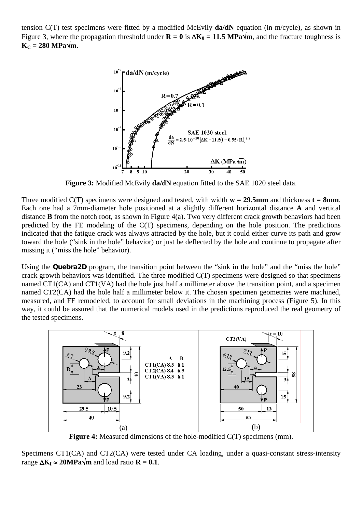tension C(T) test specimens were fitted by a modified McEvily **da/dN** equation (in m/cycle), as shown in Figure 3, where the propagation threshold under  $\mathbf{R} = 0$  is  $\Delta \mathbf{K}_0 = 11.5 \text{ MPa}\sqrt{\text{m}}$ , and the fracture toughness is  $K_C = 280 \text{ MPa}\sqrt{\text{m}}$ .



**Figure 3:** Modified McEvily **da/dN** equation fitted to the SAE 1020 steel data.

Three modified  $C(T)$  specimens were designed and tested, with width  $w = 29.5$ mm and thickness  $t = 8$ mm. Each one had a 7mm-diameter hole positioned at a slightly different horizontal distance **A** and vertical distance **B** from the notch root, as shown in Figure 4(a). Two very different crack growth behaviors had been predicted by the FE modeling of the C(T) specimens, depending on the hole position. The predictions indicated that the fatigue crack was always attracted by the hole, but it could either curve its path and grow toward the hole ("sink in the hole" behavior) or just be deflected by the hole and continue to propagate after missing it ("miss the hole" behavior).

Using the **Quebra2D** program, the transition point between the "sink in the hole" and the "miss the hole" crack growth behaviors was identified. The three modified C(T) specimens were designed so that specimens named CT1(CA) and CT1(VA) had the hole just half a millimeter above the transition point, and a specimen named CT2(CA) had the hole half a millimeter below it. The chosen specimen geometries were machined, measured, and FE remodeled, to account for small deviations in the machining process (Figure 5). In this way, it could be assured that the numerical models used in the predictions reproduced the real geometry of the tested specimens.



**Figure 4:** Measured dimensions of the hole-modified C(T) specimens (mm).

Specimens CT1(CA) and CT2(CA) were tested under CA loading, under a quasi-constant stress-intensity range  $\Delta K_I \approx 20 \text{MPa} \sqrt{\text{m}}$  and load ratio **R** = 0.1.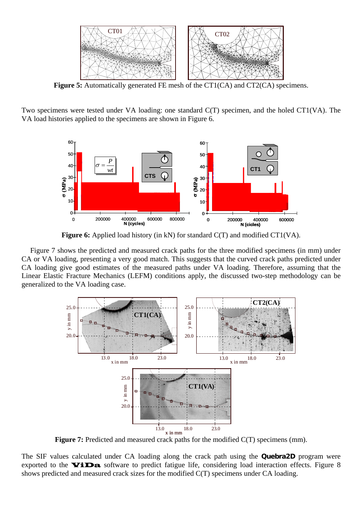

**Figure 5:** Automatically generated FE mesh of the CT1(CA) and CT2(CA) specimens.

Two specimens were tested under VA loading: one standard C(T) specimen, and the holed CT1(VA). The VA load histories applied to the specimens are shown in Figure 6.



**Figure 6:** Applied load history (in kN) for standard C(T) and modified CT1(VA).

Figure 7 shows the predicted and measured crack paths for the three modified specimens (in mm) under CA or VA loading, presenting a very good match. This suggests that the curved crack paths predicted under CA loading give good estimates of the measured paths under VA loading. Therefore, assuming that the Linear Elastic Fracture Mechanics (LEFM) conditions apply, the discussed two-step methodology can be generalized to the VA loading case.



**Figure 7:** Predicted and measured crack paths for the modified  $C(T)$  specimens (mm).

The SIF values calculated under CA loading along the crack path using the **Quebra2D** program were exported to the  $\triangledown$ iDa software to predict fatigue life, considering load interaction effects. Figure 8 shows predicted and measured crack sizes for the modified C(T) specimens under CA loading.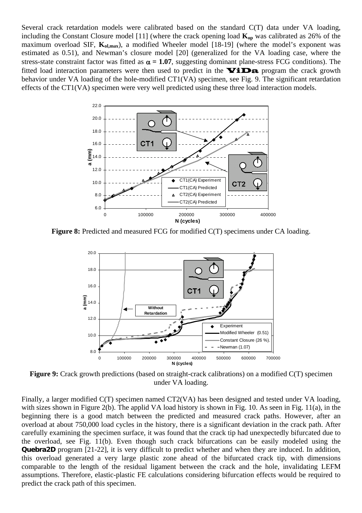Several crack retardation models were calibrated based on the standard C(T) data under VA loading, including the Constant Closure model [11] (where the crack opening load  $K_{op}$  was calibrated as 26% of the maximum overload SIF,  $K_{\text{ol,max}}$ ), a modified Wheeler model [18-19] (where the model's exponent was estimated as 0.51), and Newman's closure model [20] (generalized for the VA loading case, where the stress-state constraint factor was fitted as  $\alpha = 1.07$ , suggesting dominant plane-stress FCG conditions). The fitted load interaction parameters were then used to predict in the  $\mathbf{Vi}\mathbf{Da}$  program the crack growth behavior under VA loading of the hole-modified CT1(VA) specimen, see Fig. 9. The significant retardation effects of the CT1(VA) specimen were very well predicted using these three load interaction models.



**Figure 8:** Predicted and measured FCG for modified C(T) specimens under CA loading.



**Figure 9:** Crack growth predictions (based on straight-crack calibrations) on a modified C(T) specimen under VA loading.

Finally, a larger modified C(T) specimen named CT2(VA) has been designed and tested under VA loading, with sizes shown in Figure 2(b). The applid VA load history is shown in Fig. 10. As seen in Fig. 11(a), in the beginning there is a good match between the predicted and measured crack paths. However, after an overload at about 750,000 load cycles in the history, there is a significant deviation in the crack path. After carefully examining the specimen surface, it was found that the crack tip had unexpectedly bifurcated due to the overload, see Fig. 11(b). Even though such crack bifurcations can be easily modeled using the **Quebra2D** program [21-22], it is very difficult to predict whether and when they are induced. In addition, this overload generated a very large plastic zone ahead of the bifurcated crack tip, with dimensions comparable to the length of the residual ligament between the crack and the hole, invalidating LEFM assumptions. Therefore, elastic-plastic FE calculations considering bifurcation effects would be required to predict the crack path of this specimen.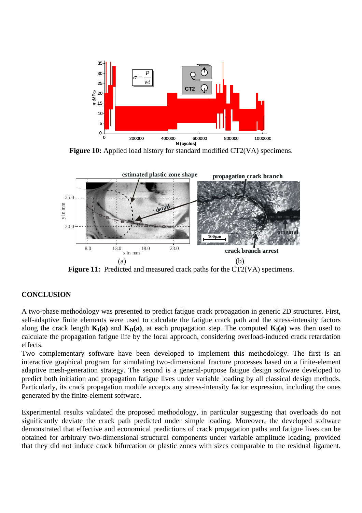

**Figure 10:** Applied load history for standard modified CT2(VA) specimens.



Figure 11: Predicted and measured crack paths for the CT2(VA) specimens.

## **CONCLUSION**

A two-phase methodology was presented to predict fatigue crack propagation in generic 2D structures. First, self-adaptive finite elements were used to calculate the fatigue crack path and the stress-intensity factors along the crack length  $K_I(a)$  and  $K_{II}(a)$ , at each propagation step. The computed  $K_I(a)$  was then used to calculate the propagation fatigue life by the local approach, considering overload-induced crack retardation effects.

Two complementary software have been developed to implement this methodology. The first is an interactive graphical program for simulating two-dimensional fracture processes based on a finite-element adaptive mesh-generation strategy. The second is a general-purpose fatigue design software developed to predict both initiation and propagation fatigue lives under variable loading by all classical design methods. Particularly, its crack propagation module accepts any stress-intensity factor expression, including the ones generated by the finite-element software.

Experimental results validated the proposed methodology, in particular suggesting that overloads do not significantly deviate the crack path predicted under simple loading. Moreover, the developed software demonstrated that effective and economical predictions of crack propagation paths and fatigue lives can be obtained for arbitrary two-dimensional structural components under variable amplitude loading, provided that they did not induce crack bifurcation or plastic zones with sizes comparable to the residual ligament.